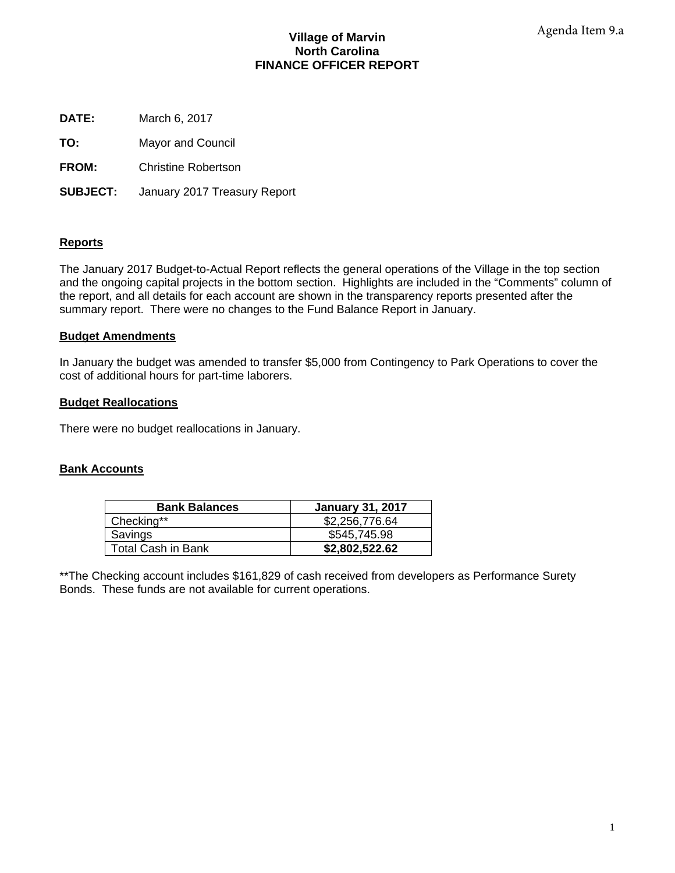## **Village of Marvin North Carolina FINANCE OFFICER REPORT**

**DATE:** March 6, 2017

**TO:** Mayor and Council

**FROM:** Christine Robertson

**SUBJECT:** January 2017 Treasury Report

## **Reports**

The January 2017 Budget-to-Actual Report reflects the general operations of the Village in the top section and the ongoing capital projects in the bottom section. Highlights are included in the "Comments" column of the report, and all details for each account are shown in the transparency reports presented after the summary report. There were no changes to the Fund Balance Report in January.

## **Budget Amendments**

In January the budget was amended to transfer \$5,000 from Contingency to Park Operations to cover the cost of additional hours for part-time laborers.

## **Budget Reallocations**

There were no budget reallocations in January.

## **Bank Accounts**

| <b>Bank Balances</b> | <b>January 31, 2017</b> |
|----------------------|-------------------------|
| Checking**           | \$2,256,776.64          |
| Savings              | \$545,745.98            |
| Total Cash in Bank   | \$2,802,522.62          |

\*\*The Checking account includes \$161,829 of cash received from developers as Performance Surety Bonds. These funds are not available for current operations.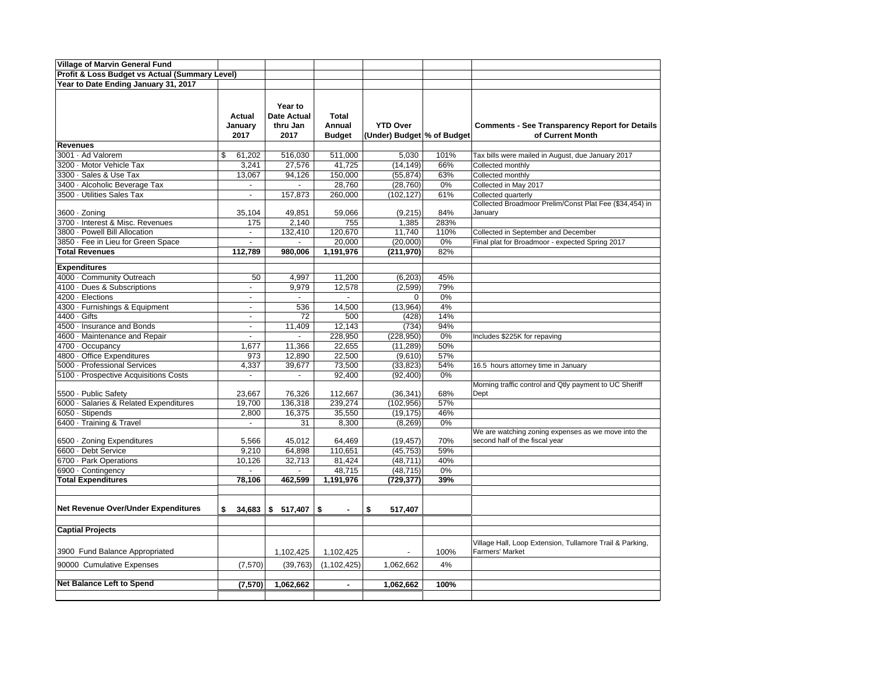| <b>Village of Marvin General Fund</b>          |                           |                                            |                                         |                                               |      |                                                                                       |
|------------------------------------------------|---------------------------|--------------------------------------------|-----------------------------------------|-----------------------------------------------|------|---------------------------------------------------------------------------------------|
| Profit & Loss Budget vs Actual (Summary Level) |                           |                                            |                                         |                                               |      |                                                                                       |
| Year to Date Ending January 31, 2017           |                           |                                            |                                         |                                               |      |                                                                                       |
|                                                |                           |                                            |                                         |                                               |      |                                                                                       |
|                                                | Actual<br>January<br>2017 | Year to<br>Date Actual<br>thru Jan<br>2017 | <b>Total</b><br>Annual<br><b>Budget</b> | <b>YTD Over</b><br>(Under) Budget % of Budget |      | <b>Comments - See Transparency Report for Details</b><br>of Current Month             |
| <b>Revenues</b>                                |                           |                                            |                                         |                                               |      |                                                                                       |
| 3001 · Ad Valorem                              | \$<br>61,202              | 516,030                                    | 511,000                                 | 5,030                                         | 101% | Tax bills were mailed in August, due January 2017                                     |
| 3200 · Motor Vehicle Tax                       | 3,241                     | 27,576                                     | 41,725                                  | (14, 149)                                     | 66%  | Collected monthly                                                                     |
| 3300 · Sales & Use Tax                         | 13,067                    | 94,126                                     | 150,000                                 | (55, 874)                                     | 63%  | Collected monthly                                                                     |
| 3400 · Alcoholic Beverage Tax                  | $\blacksquare$            |                                            | 28,760                                  | (28, 760)                                     | 0%   | Collected in May 2017                                                                 |
| 3500 · Utilities Sales Tax                     | $\overline{a}$            | 157,873                                    | 260,000                                 | (102, 127)                                    | 61%  | Collected quarterly                                                                   |
| 3600 · Zoning                                  | 35,104                    | 49,851                                     | 59,066                                  | (9,215)                                       | 84%  | Collected Broadmoor Prelim/Const Plat Fee (\$34,454) in<br>January                    |
| 3700 · Interest & Misc. Revenues               | 175                       | 2,140                                      | 755                                     | 1,385                                         | 283% |                                                                                       |
| 3800 · Powell Bill Allocation                  | $\mathbf{r}$              | 132,410                                    | 120,670                                 | 11,740                                        | 110% | Collected in September and December                                                   |
| 3850 · Fee in Lieu for Green Space             | $\overline{\phantom{a}}$  | $\blacksquare$                             | 20,000                                  | (20,000)                                      | 0%   | Final plat for Broadmoor - expected Spring 2017                                       |
| <b>Total Revenues</b>                          | 112,789                   | 980,006                                    | 1,191,976                               | (211, 970)                                    | 82%  |                                                                                       |
|                                                |                           |                                            |                                         |                                               |      |                                                                                       |
| <b>Expenditures</b>                            |                           |                                            |                                         |                                               |      |                                                                                       |
| 4000 · Community Outreach                      | 50                        | 4,997                                      | 11,200                                  | (6,203)                                       | 45%  |                                                                                       |
| 4100 · Dues & Subscriptions                    | $\omega$                  | 9,979                                      | 12,578                                  | (2, 599)                                      | 79%  |                                                                                       |
| 4200 · Elections                               | $\sim$                    | $\sim$                                     | $\overline{\phantom{a}}$                | $\mathbf 0$                                   | 0%   |                                                                                       |
| 4300 · Furnishings & Equipment                 | $\blacksquare$            | 536                                        | 14,500                                  | (13,964)                                      | 4%   |                                                                                       |
| 4400 · Gifts                                   | $\mathbf{r}$              | 72                                         | 500                                     | (428)                                         | 14%  |                                                                                       |
| 4500 · Insurance and Bonds                     | $\overline{\phantom{a}}$  | 11,409                                     | 12,143                                  | (734)                                         | 94%  |                                                                                       |
| 4600 · Maintenance and Repair                  | $\blacksquare$            | $\overline{\phantom{a}}$                   | 228,950                                 | (228, 950)                                    | 0%   | Includes \$225K for repaving                                                          |
| 4700 · Occupancy                               | 1,677                     | 11,366                                     | 22,655                                  | (11, 289)                                     | 50%  |                                                                                       |
| 4800 · Office Expenditures                     | 973                       | 12,890                                     | 22,500                                  | (9,610)                                       | 57%  |                                                                                       |
| 5000 - Professional Services                   | 4,337                     | 39,677                                     | 73,500                                  | (33, 823)                                     | 54%  | 16.5 hours attorney time in January                                                   |
| 5100 · Prospective Acquisitions Costs          |                           | $\overline{a}$                             | 92,400                                  | (92, 400)                                     | 0%   |                                                                                       |
|                                                |                           |                                            |                                         |                                               |      | Morning traffic control and Qtly payment to UC Sheriff                                |
| 5500 · Public Safety                           | 23,667                    | 76,326                                     | 112,667                                 | (36, 341)                                     | 68%  | Dept                                                                                  |
| 6000 · Salaries & Related Expenditures         | 19,700                    | 136,318                                    | 239,274                                 | (102, 956)                                    | 57%  |                                                                                       |
| 6050 · Stipends                                | 2,800                     | 16,375                                     | 35,550                                  | (19, 175)                                     | 46%  |                                                                                       |
| 6400 · Training & Travel                       | ÷,                        | 31                                         | 8,300                                   | (8, 269)                                      | 0%   |                                                                                       |
| 6500 · Zoning Expenditures                     | 5,566                     | 45,012                                     | 64,469                                  | (19, 457)                                     | 70%  | We are watching zoning expenses as we move into the<br>second half of the fiscal year |
| 6600 · Debt Service                            | 9,210                     | 64,898                                     | 110,651                                 | (45, 753)                                     | 59%  |                                                                                       |
| 6700 · Park Operations                         | 10,126                    | 32,713                                     | 81,424                                  | (48, 711)                                     | 40%  |                                                                                       |
| 6900 · Contingency                             |                           |                                            | 48,715                                  | (48, 715)                                     | 0%   |                                                                                       |
| <b>Total Expenditures</b>                      | 78,106                    | 462,599                                    | 1,191,976                               | (729, 377)                                    | 39%  |                                                                                       |
|                                                |                           |                                            |                                         |                                               |      |                                                                                       |
| Net Revenue Over/Under Expenditures            | \$<br>34,683              | \$517,407                                  | \$                                      | \$<br>517,407                                 |      |                                                                                       |
|                                                |                           |                                            |                                         |                                               |      |                                                                                       |
| <b>Captial Projects</b>                        |                           |                                            |                                         |                                               |      |                                                                                       |
| 3900 Fund Balance Appropriated                 |                           | 1,102,425                                  | 1,102,425                               |                                               | 100% | Village Hall, Loop Extension, Tullamore Trail & Parking,<br><b>Farmers' Market</b>    |
| 90000 Cumulative Expenses                      | (7,570)                   | (39, 763)                                  | (1, 102, 425)                           | 1,062,662                                     | 4%   |                                                                                       |
|                                                |                           |                                            |                                         |                                               |      |                                                                                       |
| Net Balance Left to Spend                      | (7,570)                   | 1,062,662                                  | $\blacksquare$                          | 1,062,662                                     | 100% |                                                                                       |
|                                                |                           |                                            |                                         |                                               |      |                                                                                       |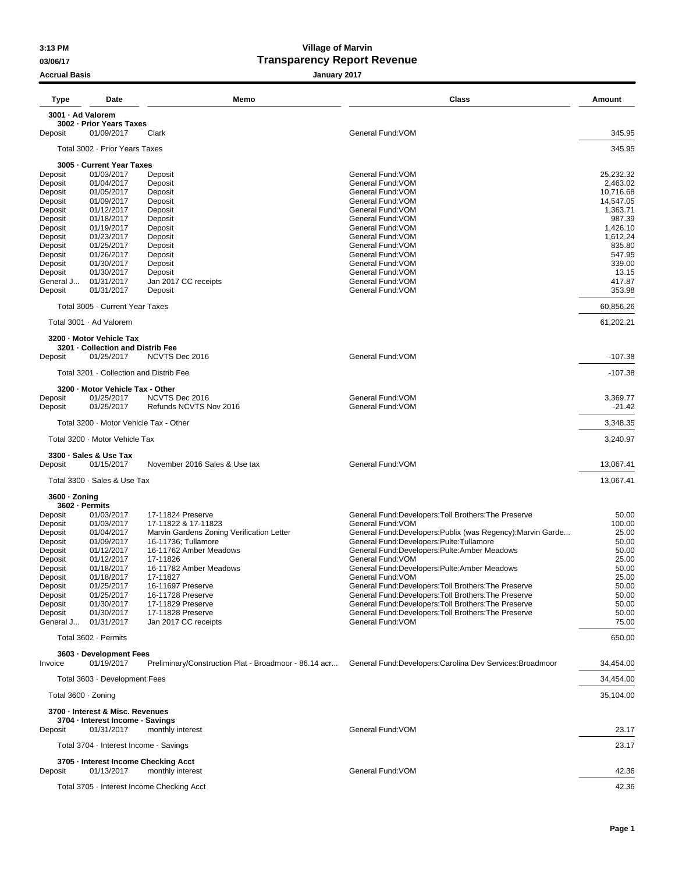## **Accrual Basis January 2017**

## **3:13 PM Village of Marvin 03/06/17 Transparency Report Revenue**

| Type                            | Date                                            | Memo                                                             | Class                                                                                                       | Amount                |
|---------------------------------|-------------------------------------------------|------------------------------------------------------------------|-------------------------------------------------------------------------------------------------------------|-----------------------|
| 3001 - Ad Valorem               |                                                 |                                                                  |                                                                                                             |                       |
| Deposit                         | 3002 - Prior Years Taxes<br>01/09/2017          | Clark                                                            | General Fund: VOM                                                                                           | 345.95                |
|                                 | Total 3002 · Prior Years Taxes                  |                                                                  |                                                                                                             | 345.95                |
|                                 | 3005 - Current Year Taxes                       |                                                                  |                                                                                                             |                       |
| Deposit                         | 01/03/2017                                      | Deposit                                                          | General Fund: VOM                                                                                           | 25,232.32             |
| Deposit<br>Deposit              | 01/04/2017<br>01/05/2017                        | Deposit<br>Deposit                                               | General Fund: VOM<br>General Fund: VOM                                                                      | 2,463.02<br>10,716.68 |
| Deposit                         | 01/09/2017                                      | Deposit                                                          | General Fund: VOM                                                                                           | 14,547.05             |
| Deposit                         | 01/12/2017                                      | Deposit                                                          | General Fund: VOM                                                                                           | 1,363.71              |
| Deposit                         | 01/18/2017                                      | Deposit                                                          | General Fund: VOM                                                                                           | 987.39                |
| Deposit<br>Deposit              | 01/19/2017<br>01/23/2017                        | Deposit<br>Deposit                                               | General Fund: VOM<br>General Fund: VOM                                                                      | 1,426.10<br>1,612.24  |
| Deposit                         | 01/25/2017                                      | Deposit                                                          | General Fund: VOM                                                                                           | 835.80                |
| Deposit                         | 01/26/2017                                      | Deposit                                                          | General Fund: VOM                                                                                           | 547.95                |
| Deposit<br>Deposit              | 01/30/2017<br>01/30/2017                        | Deposit<br>Deposit                                               | General Fund: VOM<br>General Fund: VOM                                                                      | 339.00<br>13.15       |
| General J                       | 01/31/2017                                      | Jan 2017 CC receipts                                             | General Fund: VOM                                                                                           | 417.87                |
| Deposit                         | 01/31/2017                                      | Deposit                                                          | General Fund: VOM                                                                                           | 353.98                |
|                                 | Total 3005 · Current Year Taxes                 |                                                                  |                                                                                                             | 60,856.26             |
|                                 | Total 3001 · Ad Valorem                         |                                                                  |                                                                                                             | 61,202.21             |
|                                 | 3200 - Motor Vehicle Tax                        |                                                                  |                                                                                                             |                       |
| Deposit                         | 3201 - Collection and Distrib Fee<br>01/25/2017 | NCVTS Dec 2016                                                   | General Fund: VOM                                                                                           | $-107.38$             |
|                                 | Total 3201 · Collection and Distrib Fee         |                                                                  |                                                                                                             | $-107.38$             |
|                                 | 3200 - Motor Vehicle Tax - Other                |                                                                  |                                                                                                             |                       |
| Deposit                         | 01/25/2017                                      | NCVTS Dec 2016                                                   | General Fund: VOM                                                                                           | 3,369.77              |
| Deposit                         | 01/25/2017                                      | Refunds NCVTS Nov 2016                                           | General Fund: VOM                                                                                           | $-21.42$              |
|                                 | Total 3200 · Motor Vehicle Tax - Other          |                                                                  |                                                                                                             | 3,348.35              |
|                                 | Total 3200 · Motor Vehicle Tax                  |                                                                  |                                                                                                             | 3,240.97              |
|                                 | 3300 · Sales & Use Tax<br>01/15/2017            | November 2016 Sales & Use tax                                    | General Fund: VOM                                                                                           | 13,067.41             |
| Deposit                         | Total 3300 · Sales & Use Tax                    |                                                                  |                                                                                                             |                       |
|                                 |                                                 |                                                                  |                                                                                                             | 13,067.41             |
| 3600 · Zoning<br>3602 - Permits |                                                 |                                                                  |                                                                                                             |                       |
| Deposit                         | 01/03/2017                                      | 17-11824 Preserve                                                | General Fund:Developers:Toll Brothers:The Preserve                                                          | 50.00                 |
| Deposit<br>Deposit              | 01/03/2017<br>01/04/2017                        | 17-11822 & 17-11823<br>Marvin Gardens Zoning Verification Letter | General Fund: VOM<br>General Fund:Developers:Publix (was Regency):Marvin Garde                              | 100.00<br>25.00       |
| Deposit                         | 01/09/2017                                      | 16-11736; Tullamore                                              | General Fund:Developers:Pulte:Tullamore                                                                     | 50.00                 |
| Deposit                         | 01/12/2017                                      | 16-11762 Amber Meadows                                           | General Fund:Developers:Pulte:Amber Meadows                                                                 | 50.00                 |
| Deposit<br>Deposit              | 01/12/2017<br>01/18/2017                        | 17-11826<br>16-11782 Amber Meadows                               | General Fund: VOM<br>General Fund:Developers:Pulte:Amber Meadows                                            | 25.00<br>50.00        |
| Deposit                         | 01/18/2017                                      | 17-11827                                                         | General Fund: VOM                                                                                           | 25.00                 |
| Deposit                         | 01/25/2017                                      | 16-11697 Preserve                                                | General Fund:Developers:Toll Brothers:The Preserve                                                          | 50.00                 |
| Deposit<br>Deposit              | 01/25/2017<br>01/30/2017                        | 16-11728 Preserve<br>17-11829 Preserve                           | General Fund:Developers:Toll Brothers:The Preserve<br>General Fund: Developers: Toll Brothers: The Preserve | 50.00<br>50.00        |
| Deposit                         | 01/30/2017                                      | 17-11828 Preserve                                                | General Fund:Developers:Toll Brothers:The Preserve                                                          | 50.00                 |
| General J                       | 01/31/2017                                      | Jan 2017 CC receipts                                             | General Fund: VOM                                                                                           | 75.00                 |
|                                 | Total 3602 · Permits                            |                                                                  |                                                                                                             | 650.00                |
| Invoice                         | 3603 · Development Fees<br>01/19/2017           | Preliminary/Construction Plat - Broadmoor - 86.14 acr            | General Fund:Developers:Carolina Dev Services:Broadmoor                                                     | 34,454.00             |
|                                 | Total 3603 · Development Fees                   |                                                                  |                                                                                                             | 34,454.00             |
| Total 3600 · Zoning             |                                                 |                                                                  |                                                                                                             | 35,104.00             |
|                                 | 3700 - Interest & Misc. Revenues                |                                                                  |                                                                                                             |                       |
|                                 | 3704 - Interest Income - Savings                |                                                                  |                                                                                                             |                       |
| Deposit                         | 01/31/2017                                      | monthly interest                                                 | General Fund: VOM                                                                                           | 23.17                 |
|                                 | Total 3704 · Interest Income - Savings          |                                                                  |                                                                                                             | 23.17                 |
| Deposit                         | 01/13/2017                                      | 3705 - Interest Income Checking Acct<br>monthly interest         | General Fund: VOM                                                                                           | 42.36                 |
|                                 |                                                 | Total 3705 · Interest Income Checking Acct                       |                                                                                                             | 42.36                 |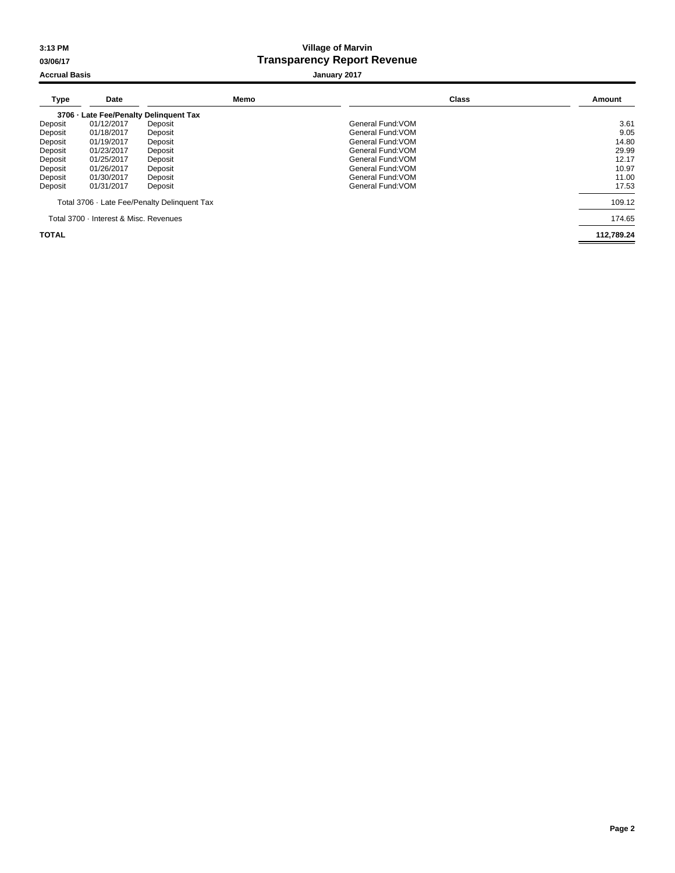## **3:13 PM Village of Marvin 03/06/17 Transparency Report Revenue**

## **Accrual Basis Accrual Basis Accrual Basis January 2017**

| <b>Type</b>  | Date                                   | Memo                                         | Class             | Amount     |
|--------------|----------------------------------------|----------------------------------------------|-------------------|------------|
|              |                                        | 3706 - Late Fee/Penalty Delinguent Tax       |                   |            |
| Deposit      | 01/12/2017                             | Deposit                                      | General Fund: VOM | 3.61       |
| Deposit      | 01/18/2017                             | Deposit                                      | General Fund: VOM | 9.05       |
| Deposit      | 01/19/2017                             | Deposit                                      | General Fund: VOM | 14.80      |
| Deposit      | 01/23/2017                             | Deposit                                      | General Fund: VOM | 29.99      |
| Deposit      | 01/25/2017                             | Deposit                                      | General Fund: VOM | 12.17      |
| Deposit      | 01/26/2017                             | Deposit                                      | General Fund: VOM | 10.97      |
| Deposit      | 01/30/2017                             | Deposit                                      | General Fund: VOM | 11.00      |
| Deposit      | 01/31/2017                             | Deposit                                      | General Fund: VOM | 17.53      |
|              |                                        | Total 3706 · Late Fee/Penalty Delinguent Tax |                   | 109.12     |
|              | Total 3700 - Interest & Misc. Revenues |                                              |                   | 174.65     |
| <b>TOTAL</b> |                                        |                                              |                   | 112.789.24 |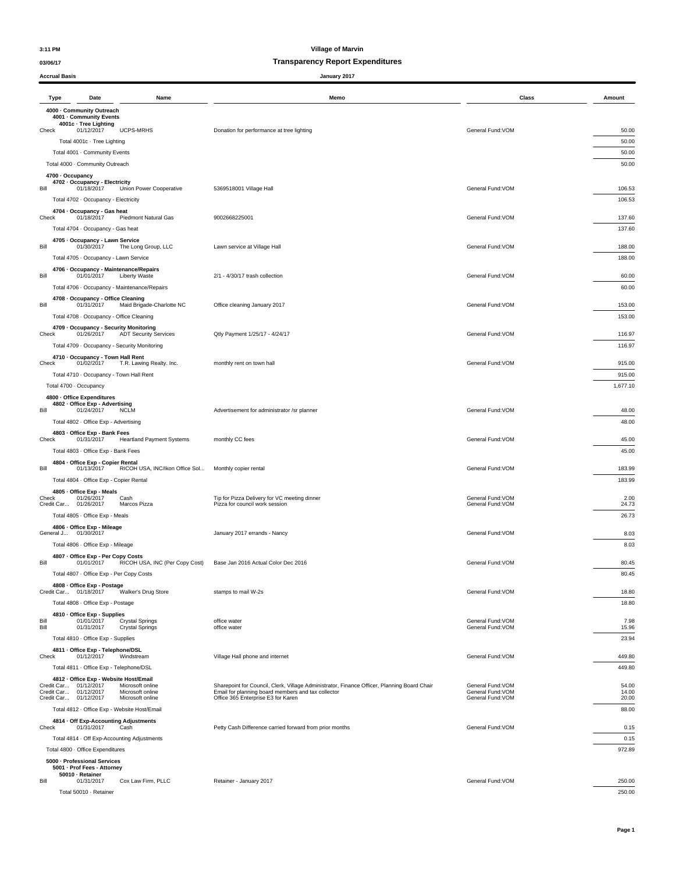### **03/06/17 Transparency Report Expenditures**

| <b>Accrual Basis</b>                           |                                                                                                                              | January 2017                                                                                |                                        |                  |
|------------------------------------------------|------------------------------------------------------------------------------------------------------------------------------|---------------------------------------------------------------------------------------------|----------------------------------------|------------------|
| Type                                           | Date<br>Name                                                                                                                 | Memo                                                                                        | Class                                  | Amount           |
|                                                | 4000 - Community Outreach<br>4001 - Community Events<br>4001c · Tree Lighting                                                |                                                                                             |                                        |                  |
| Check                                          | 01/12/2017<br>UCPS-MRHS                                                                                                      | Donation for performance at tree lighting                                                   | General Fund: VOM                      | 50.00            |
|                                                | Total 4001c · Tree Lighting<br>Total 4001 · Community Events                                                                 |                                                                                             |                                        | 50.00<br>50.00   |
|                                                | Total 4000 · Community Outreach                                                                                              |                                                                                             |                                        | 50.00            |
| 4700 · Occupancy                               |                                                                                                                              |                                                                                             |                                        |                  |
| Bill                                           | 4702 - Occupancy - Electricity<br>01/18/2017<br>Union Power Cooperative                                                      | 5369518001 Village Hall                                                                     | General Fund: VOM                      | 106.53           |
|                                                | Total 4702 · Occupancy - Electricity                                                                                         |                                                                                             |                                        | 106.53           |
| Check                                          | 4704 - Occupancy - Gas heat<br>01/18/2017<br>Piedmont Natural Gas                                                            | 9002668225001                                                                               | General Fund: VOM                      | 137.60           |
|                                                | Total 4704 · Occupancy - Gas heat                                                                                            |                                                                                             |                                        | 137.60           |
| Bill                                           | 4705 · Occupancy - Lawn Service<br>01/30/2017<br>The Long Group, LLC                                                         | Lawn service at Village Hall                                                                | General Fund: VOM                      | 188.00           |
|                                                | Total 4705 · Occupancy - Lawn Service                                                                                        |                                                                                             |                                        | 188.00           |
| Bill                                           | 4706 - Occupancy - Maintenance/Repairs<br>01/01/2017<br><b>Liberty Waste</b><br>Total 4706 · Occupancy - Maintenance/Repairs | 2/1 - 4/30/17 trash collection                                                              | General Fund: VOM                      | 60.00<br>60.00   |
|                                                | 4708 - Occupancy - Office Cleaning                                                                                           |                                                                                             |                                        |                  |
| Bill                                           | Maid Brigade-Charlotte NC<br>01/31/2017<br>Total 4708 · Occupancy - Office Cleaning                                          | Office cleaning January 2017                                                                | General Fund: VOM                      | 153.00<br>153.00 |
|                                                | 4709 - Occupancy - Security Monitoring                                                                                       |                                                                                             |                                        |                  |
| Check                                          | 01/26/2017<br><b>ADT Security Services</b>                                                                                   | Qtly Payment 1/25/17 - 4/24/17                                                              | General Fund: VOM                      | 116.97           |
|                                                | Total 4709 · Occupancy - Security Monitoring                                                                                 |                                                                                             |                                        | 116.97           |
| Check                                          | 4710 - Occupancy - Town Hall Rent<br>01/02/2017<br>T.R. Lawing Realty. Inc.                                                  | monthly rent on town hall                                                                   | General Fund: VOM                      | 915.00           |
|                                                | Total 4710 · Occupancy - Town Hall Rent                                                                                      |                                                                                             |                                        | 915.00           |
| Total 4700 · Occupancy                         |                                                                                                                              |                                                                                             |                                        | 1,677.10         |
| 4800 · Office Expenditures                     |                                                                                                                              |                                                                                             |                                        |                  |
| Bill                                           | 4802 - Office Exp - Advertising<br>01/24/2017<br><b>NCLM</b>                                                                 | Advertisement for administrator /sr planner                                                 | General Fund: VOM                      | 48.00            |
|                                                | Total 4802 · Office Exp - Advertising                                                                                        |                                                                                             |                                        | 48.00            |
|                                                | 4803 - Office Exp - Bank Fees                                                                                                |                                                                                             |                                        |                  |
| Check                                          | 01/31/2017<br><b>Heartland Payment Systems</b>                                                                               | monthly CC fees                                                                             | General Fund: VOM                      | 45.00            |
|                                                | Total 4803 · Office Exp - Bank Fees                                                                                          |                                                                                             |                                        | 45.00            |
| Bill                                           | 4804 · Office Exp - Copier Rental<br>RICOH USA, INC/Ikon Office Sol<br>01/13/2017                                            | Monthly copier rental                                                                       | General Fund: VOM                      | 183.99           |
|                                                | Total 4804 · Office Exp - Copier Rental                                                                                      |                                                                                             |                                        | 183.99           |
| Check                                          | 4805 - Office Exp - Meals<br>01/26/2017<br>Cash                                                                              | Tip for Pizza Delivery for VC meeting dinner                                                | General Fund: VOM                      | 2.00             |
| Credit Car                                     | 01/26/2017<br>Marcos Pizza                                                                                                   | Pizza for council work session                                                              | General Fund: VOM                      | 24.73            |
|                                                | Total 4805 · Office Exp - Meals                                                                                              |                                                                                             |                                        | 26.73            |
| General J 01/30/2017                           | 4806 - Office Exp - Mileage                                                                                                  | January 2017 errands - Nancy                                                                | General Fund: VOM                      | 8.03             |
|                                                | Total 4806 · Office Exp - Mileage                                                                                            |                                                                                             |                                        | 8.03             |
|                                                | 4807 - Office Exp - Per Copy Costs                                                                                           |                                                                                             |                                        |                  |
| Bill                                           | RICOH USA, INC (Per Copy Cost)<br>01/01/2017                                                                                 | Base Jan 2016 Actual Color Dec 2016                                                         | General Fund: VOM                      | 80.45            |
|                                                | Total 4807 - Office Exp - Per Copy Costs                                                                                     |                                                                                             |                                        | 80.45            |
| Credit Car 01/18/2017                          | 4808 - Office Exp - Postage<br>Walker's Drug Store                                                                           | stamps to mail W-2s                                                                         | General Fund: VOM                      | 18.80            |
|                                                | Total 4808 · Office Exp - Postage                                                                                            |                                                                                             |                                        | 18.80            |
|                                                | 4810 - Office Exp - Supplies                                                                                                 |                                                                                             |                                        |                  |
| Bill<br>Bill                                   | 01/01/2017<br>Crystal Springs<br>01/31/2017<br><b>Crystal Springs</b>                                                        | office water<br>office water                                                                | General Fund: VOM<br>General Fund: VOM | 7.98<br>15.96    |
|                                                | Total 4810 · Office Exp - Supplies                                                                                           |                                                                                             |                                        | 23.94            |
|                                                | 4811 - Office Exp - Telephone/DSL                                                                                            |                                                                                             |                                        |                  |
| Check                                          | 01/12/2017<br>Windstream                                                                                                     | Village Hall phone and internet                                                             | General Fund: VOM                      | 449.80           |
|                                                | Total 4811 · Office Exp - Telephone/DSL                                                                                      |                                                                                             |                                        | 449.80           |
| Credit Car 01/12/2017                          | 4812 - Office Exp - Website Host/Email<br>Microsoft online                                                                   | Sharepoint for Council, Clerk, Village Administrator, Finance Officer, Planning Board Chair | General Fund: VOM                      | 54.00            |
| Credit Car 01/12/2017<br>Credit Car 01/12/2017 | Microsoft online<br>Microsoft online                                                                                         | Email for planning board members and tax collector<br>Office 365 Enterprise E3 for Karen    | General Fund: VOM<br>General Fund: VOM | 14.00<br>20.00   |
|                                                | Total 4812 · Office Exp - Website Host/Email                                                                                 |                                                                                             |                                        | 88.00            |
|                                                | 4814 - Off Exp-Accounting Adjustments                                                                                        |                                                                                             |                                        |                  |
| Check                                          | 01/31/2017<br>Cash                                                                                                           | Petty Cash Difference carried forward from prior months                                     | General Fund: VOM                      | 0.15             |
|                                                | Total 4814 · Off Exp-Accounting Adjustments<br>Total 4800 · Office Expenditures                                              |                                                                                             |                                        | 0.15<br>972.89   |
|                                                | 5000 - Professional Services                                                                                                 |                                                                                             |                                        |                  |
|                                                | 5001 - Prof Fees - Attorney                                                                                                  |                                                                                             |                                        |                  |
| 50010 - Retainer<br>Bill                       | 01/31/2017<br>Cox Law Firm, PLLC                                                                                             | Retainer - January 2017                                                                     | General Fund: VOM                      | 250.00           |
|                                                | Total 50010 · Retainer                                                                                                       |                                                                                             |                                        | 250.00           |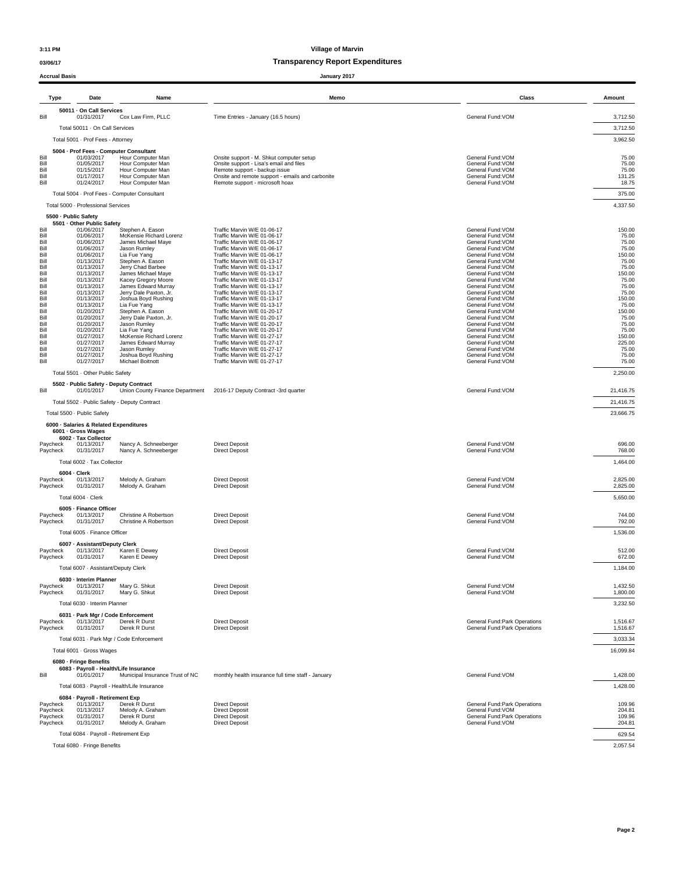## **03/06/17 Transparency Report Expenditures**

| <b>Accrual Basis</b> |                                                      |                                                | January 2017                                                                        |                                                               |                      |
|----------------------|------------------------------------------------------|------------------------------------------------|-------------------------------------------------------------------------------------|---------------------------------------------------------------|----------------------|
| Type                 | Date                                                 | Name                                           | Memo                                                                                | Class                                                         | Amount               |
| Bill                 | 50011 · On Call Services<br>01/31/2017               | Cox Law Firm, PLLC                             | Time Entries - January (16.5 hours)                                                 | General Fund: VOM                                             | 3,712.50             |
|                      | Total 50011 · On Call Services                       |                                                |                                                                                     |                                                               | 3,712.50             |
|                      | Total 5001 - Prof Fees - Attorney                    |                                                |                                                                                     |                                                               | 3,962.50             |
|                      | 5004 - Prof Fees - Computer Consultant               |                                                |                                                                                     |                                                               |                      |
| Bill<br>Bill         | 01/03/2017<br>01/05/2017                             | Hour Computer Man<br>Hour Computer Man         | Onsite support - M. Shkut computer setup<br>Onsite support - Lisa's email and files | General Fund: VOM<br>General Fund: VOM                        | 75.00<br>75.00       |
| Bill<br>Bill         | 01/15/2017<br>01/17/2017                             | Hour Computer Man<br>Hour Computer Man         | Remote support - backup issue                                                       | General Fund: VOM<br>General Fund: VOM                        | 75.00                |
| Bill                 | 01/24/2017                                           | Hour Computer Man                              | Onsite and remote support - emails and carbonite<br>Remote support - microsoft hoax | General Fund: VOM                                             | 131.25<br>18.75      |
|                      |                                                      | Total 5004 · Prof Fees - Computer Consultant   |                                                                                     |                                                               | 375.00               |
|                      | Total 5000 · Professional Services                   |                                                |                                                                                     |                                                               | 4,337.50             |
|                      | 5500 - Public Safety                                 |                                                |                                                                                     |                                                               |                      |
| Bill                 | 5501 - Other Public Safety<br>01/06/2017             | Stephen A. Eason                               | Traffic Marvin W/E 01-06-17                                                         | General Fund: VOM                                             | 150.00               |
| Bill<br>Bill         | 01/06/2017<br>01/06/2017                             | McKensie Richard Lorenz<br>James Michael Maye  | Traffic Marvin W/E 01-06-17<br>Traffic Marvin W/E 01-06-17                          | General Fund: VOM<br>General Fund: VOM                        | 75.00<br>75.00       |
| Bill<br>Bill         | 01/06/2017<br>01/06/2017                             | Jason Rumley<br>Lia Fue Yang                   | Traffic Marvin W/E 01-06-17<br>Traffic Marvin W/E 01-06-17                          | General Fund: VOM<br>General Fund: VOM                        | 75.00<br>150.00      |
| Bill                 | 01/13/2017                                           | Stephen A. Eason                               | Traffic Marvin W/E 01-13-17                                                         | General Fund: VOM                                             | 75.00                |
| Bill<br>Bill         | 01/13/2017<br>01/13/2017                             | Jerry Chad Barbee<br>James Michael Maye        | Traffic Marvin W/E 01-13-17<br>Traffic Marvin W/E 01-13-17                          | General Fund: VOM<br>General Fund: VOM                        | 75.00<br>150.00      |
| Bill<br>Bill         | 01/13/2017<br>01/13/2017                             | Kacey Gregory Moore<br>James Edward Murray     | Traffic Marvin W/E 01-13-17<br>Traffic Marvin W/E 01-13-17                          | General Fund: VOM<br>General Fund: VOM                        | 75.00<br>75.00       |
| Bill                 | 01/13/2017                                           | Jerry Dale Paxton, Jr.                         | Traffic Marvin W/E 01-13-17                                                         | General Fund: VOM                                             | 75.00                |
| Bill<br>Bill         | 01/13/2017<br>01/13/2017                             | Joshua Boyd Rushing<br>Lia Fue Yang            | Traffic Marvin W/E 01-13-17<br>Traffic Marvin W/E 01-13-17                          | General Fund: VOM<br>General Fund: VOM                        | 150.00<br>75.00      |
| Bill                 | 01/20/2017                                           | Stephen A. Eason                               | Traffic Marvin W/E 01-20-17                                                         | General Fund: VOM                                             | 150.00               |
| Bill<br>Bill         | 01/20/2017<br>01/20/2017                             | Jerry Dale Paxton, Jr.<br>Jason Rumley         | Traffic Marvin W/E 01-20-17<br>Traffic Marvin W/E 01-20-17                          | General Fund: VOM<br>General Fund: VOM                        | 75.00<br>75.00       |
| Bill<br>Bill         | 01/20/2017<br>01/27/2017                             | Lia Fue Yang<br>McKensie Richard Lorenz        | Traffic Marvin W/E 01-20-17<br>Traffic Marvin W/E 01-27-17                          | General Fund: VOM<br>General Fund:VOM                         | 75.00<br>150.00      |
| Bill                 | 01/27/2017                                           | James Edward Murrav                            | Traffic Marvin W/E 01-27-17                                                         | General Fund: VOM                                             | 225.00               |
| Bill<br>Bill         | 01/27/2017<br>01/27/2017                             | Jason Rumley<br>Joshua Boyd Rushing            | Traffic Marvin W/E 01-27-17<br>Traffic Marvin W/E 01-27-17                          | General Fund: VOM<br>General Fund: VOM                        | 75.00<br>75.00       |
| Bill                 | 01/27/2017                                           | Michael Boitnott                               | Traffic Marvin W/E 01-27-17                                                         | General Fund: VOM                                             | 75.00                |
|                      | Total 5501 · Other Public Safety                     |                                                |                                                                                     |                                                               | 2,250.00             |
| Bill                 | 5502 - Public Safety - Deputy Contract<br>01/01/2017 | Union County Finance Department                | 2016-17 Deputy Contract -3rd quarter                                                | General Fund: VOM                                             | 21,416.75            |
|                      | Total 5502 - Public Safety - Deputy Contract         |                                                |                                                                                     |                                                               | 21,416.75            |
|                      | Total 5500 · Public Safety                           |                                                |                                                                                     |                                                               | 23,666.75            |
|                      | 6000 · Salaries & Related Expenditures               |                                                |                                                                                     |                                                               |                      |
|                      | 6001 - Gross Wages                                   |                                                |                                                                                     |                                                               |                      |
| Paycheck             | 6002 - Tax Collector<br>01/13/2017                   | Nancy A. Schneeberger                          | <b>Direct Deposit</b>                                                               | General Fund:VOM                                              | 696.00               |
| Paycheck             | 01/31/2017                                           | Nancy A. Schneeberger                          | <b>Direct Deposit</b>                                                               | General Fund: VOM                                             | 768.00               |
|                      | Total 6002 · Tax Collector                           |                                                |                                                                                     |                                                               | 1,464.00             |
|                      | $6004 \cdot$ Clerk<br>01/13/2017                     | Melody A. Graham                               | <b>Direct Deposit</b>                                                               | General Fund: VOM                                             | 2,825.00             |
| Paycheck<br>Paycheck | 01/31/2017                                           | Melody A. Graham                               | <b>Direct Deposit</b>                                                               | General Fund: VOM                                             | 2,825.00             |
|                      | Total 6004 - Clerk                                   |                                                |                                                                                     |                                                               | 5,650.00             |
|                      | 6005 - Finance Officer                               |                                                |                                                                                     |                                                               |                      |
| Paycheck<br>Paycheck | 01/13/2017<br>01/31/2017                             | Christine A Robertson<br>Christine A Robertson | <b>Direct Deposit</b><br><b>Direct Deposit</b>                                      | General Fund: VOM<br>General Fund:VOM                         | 744.00<br>792.00     |
|                      | Total 6005 - Finance Officer                         |                                                |                                                                                     |                                                               | 1,536.00             |
|                      |                                                      |                                                |                                                                                     |                                                               |                      |
| Paycheck             | 6007 - Assistant/Deputy Clerk<br>01/13/2017          | Karen E Dewey                                  | <b>Direct Deposit</b>                                                               | General Fund: VOM                                             | 512.00               |
| Paycheck             | 01/31/2017                                           | Karen E Dewey                                  | <b>Direct Deposit</b>                                                               | General Fund: VOM                                             | 672.00               |
|                      | Total 6007 · Assistant/Deputy Clerk                  |                                                |                                                                                     |                                                               | 1,184.00             |
| Paycheck             | 6030 - Interim Planner<br>01/13/2017                 | Mary G. Shkut                                  | <b>Direct Deposit</b>                                                               | General Fund: VOM                                             | 1,432.50             |
| Paycheck             | 01/31/2017                                           | Mary G. Shkut                                  | <b>Direct Deposit</b>                                                               | General Fund: VOM                                             | 1,800.00             |
|                      | Total 6030 · Interim Planner                         |                                                |                                                                                     |                                                               | 3.232.50             |
|                      | 6031 - Park Mgr / Code Enforcement                   |                                                |                                                                                     |                                                               |                      |
| Paycheck<br>Paycheck | 01/13/2017<br>01/31/2017                             | Derek R Durst<br>Derek R Durst                 | <b>Direct Deposit</b><br><b>Direct Deposit</b>                                      | General Fund:Park Operations<br>General Fund: Park Operations | 1,516.67<br>1,516.67 |
|                      |                                                      | Total 6031 · Park Mgr / Code Enforcement       |                                                                                     |                                                               | 3,033.34             |
|                      | Total 6001 · Gross Wages                             |                                                |                                                                                     |                                                               | 16,099.84            |
|                      | 6080 · Fringe Benefits                               |                                                |                                                                                     |                                                               |                      |
|                      | 6083 - Payroll - Health/Life Insurance               |                                                |                                                                                     |                                                               |                      |
| Bill                 | 01/01/2017                                           | Municipal Insurance Trust of NC                | monthly health insurance full time staff - January                                  | General Fund: VOM                                             | 1,428.00             |
|                      |                                                      | Total 6083 · Payroll - Health/Life Insurance   |                                                                                     |                                                               | 1,428.00             |
| Paycheck             | 6084 - Payroll - Retirement Exp<br>01/13/2017        | Derek R Durst                                  | <b>Direct Deposit</b>                                                               | General Fund: Park Operations                                 | 109.96               |
| Paycheck             | 01/13/2017                                           | Melody A. Graham                               | <b>Direct Deposit</b>                                                               | General Fund: VOM                                             | 204.81               |
| Paycheck<br>Paycheck | 01/31/2017<br>01/31/2017                             | Derek R Durst<br>Melody A. Graham              | <b>Direct Deposit</b><br><b>Direct Deposit</b>                                      | General Fund: Park Operations<br>General Fund: VOM            | 109.96<br>204.81     |
|                      | Total 6084 · Payroll - Retirement Exp                |                                                |                                                                                     |                                                               | 629.54               |

Total 6080 · Fringe Benefits 2,057.54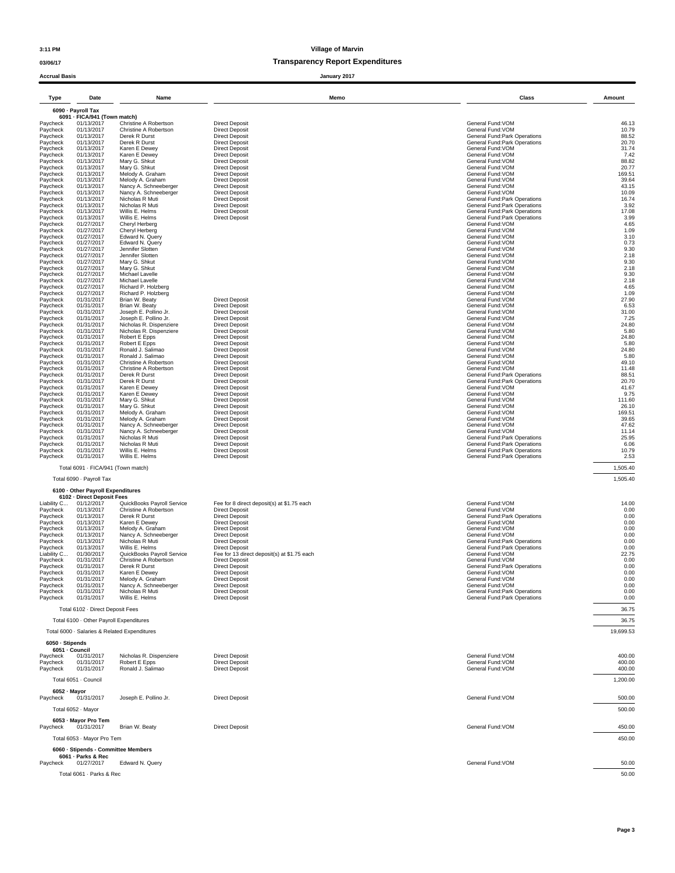### **03/06/17 Transparency Report Expenditures**

| <b>Accrual Basis</b>    |                                            |                                                    |                                                                      | January 2017 |                                                                |                  |
|-------------------------|--------------------------------------------|----------------------------------------------------|----------------------------------------------------------------------|--------------|----------------------------------------------------------------|------------------|
| Type                    | Date                                       | Name                                               |                                                                      | Memo         | Class                                                          | Amount           |
|                         | 6090 - Payroll Tax                         |                                                    |                                                                      |              |                                                                |                  |
| Paycheck                | 6091 - FICA/941 (Town match)<br>01/13/2017 | Christine A Robertson                              | <b>Direct Deposit</b>                                                |              | General Fund: VOM                                              | 46.13            |
| Paycheck<br>Paycheck    | 01/13/2017<br>01/13/2017                   | Christine A Robertson<br>Derek R Durst             | <b>Direct Deposit</b><br><b>Direct Deposit</b>                       |              | General Fund:VOM<br><b>General Fund:Park Operations</b>        | 10.79<br>88.52   |
| Paycheck                | 01/13/2017                                 | Derek R Durst                                      | <b>Direct Deposit</b>                                                |              | General Fund: Park Operations                                  | 20.70            |
| Paycheck<br>Paycheck    | 01/13/2017<br>01/13/2017                   | Karen E Dewey<br>Karen E Dewey                     | <b>Direct Deposit</b><br><b>Direct Deposit</b>                       |              | General Fund: VOM<br>General Fund: VOM                         | 31.74<br>7.42    |
| Paycheck                | 01/13/2017                                 | Mary G. Shkut                                      | <b>Direct Deposit</b>                                                |              | General Fund: VOM                                              | 88.82            |
| Paycheck<br>Paycheck    | 01/13/2017<br>01/13/2017                   | Mary G. Shkut<br>Melody A. Graham                  | <b>Direct Deposit</b><br><b>Direct Deposit</b>                       |              | General Fund: VOM<br>General Fund: VOM                         | 20.77<br>169.51  |
| Paycheck                | 01/13/2017                                 | Melody A. Graham                                   | <b>Direct Deposit</b>                                                |              | General Fund: VOM                                              | 39.64            |
| Paycheck<br>Paycheck    | 01/13/2017<br>01/13/2017                   | Nancy A. Schneeberger<br>Nancy A. Schneeberger     | <b>Direct Deposit</b><br><b>Direct Deposit</b>                       |              | General Fund: VOM<br>General Fund: VOM                         | 43.15<br>10.09   |
| Paycheck                | 01/13/2017                                 | Nicholas R Muti                                    | <b>Direct Deposit</b>                                                |              | General Fund: Park Operations                                  | 16.74            |
| Paycheck<br>Paycheck    | 01/13/2017<br>01/13/2017                   | Nicholas R Muti<br>Willis E. Helms                 | <b>Direct Deposit</b><br><b>Direct Deposit</b>                       |              | General Fund: Park Operations<br>General Fund: Park Operations | 3.92<br>17.08    |
| Paycheck<br>Paycheck    | 01/13/2017<br>01/27/2017                   | Willis E. Helms<br>Cheryl Herberg                  | <b>Direct Deposit</b>                                                |              | General Fund: Park Operations<br>General Fund: VOM             | 3.99<br>4.65     |
| Paycheck                | 01/27/2017                                 | Cheryl Herberg                                     |                                                                      |              | General Fund: VOM                                              | 1.09             |
| Paycheck<br>Paycheck    | 01/27/2017<br>01/27/2017                   | Edward N. Query<br>Edward N. Query                 |                                                                      |              | General Fund: VOM<br>General Fund: VOM                         | 3.10<br>0.73     |
| Paycheck                | 01/27/2017                                 | Jennifer Slotten                                   |                                                                      |              | General Fund: VOM                                              | 9.30             |
| Paycheck<br>Paycheck    | 01/27/2017<br>01/27/2017                   | Jennifer Slotten<br>Mary G. Shkut                  |                                                                      |              | General Fund: VOM<br>General Fund: VOM                         | 2.18<br>9.30     |
| Paycheck                | 01/27/2017                                 | Mary G. Shkut                                      |                                                                      |              | General Fund: VOM                                              | 2.18             |
| Paycheck<br>Paycheck    | 01/27/2017<br>01/27/2017                   | Michael Lavelle<br>Michael Lavelle                 |                                                                      |              | General Fund: VOM<br>General Fund: VOM                         | 9.30<br>2.18     |
| Paycheck                | 01/27/2017<br>01/27/2017                   | Richard P. Holzberg<br>Richard P. Holzberg         |                                                                      |              | General Fund: VOM<br>General Fund: VOM                         | 4.65<br>1.09     |
| Paycheck<br>Paycheck    | 01/31/2017                                 | Brian W. Beaty                                     | <b>Direct Deposit</b>                                                |              | General Fund: VOM                                              | 27.90            |
| Paycheck<br>Paycheck    | 01/31/2017<br>01/31/2017                   | Brian W. Beaty<br>Joseph E. Pollino Jr.            | <b>Direct Deposit</b><br><b>Direct Deposit</b>                       |              | General Fund: VOM<br>General Fund: VOM                         | 6.53<br>31.00    |
| Paycheck                | 01/31/2017                                 | Joseph E. Pollino Jr.                              | <b>Direct Deposit</b>                                                |              | General Fund: VOM                                              | 7.25             |
| Paycheck<br>Paycheck    | 01/31/2017<br>01/31/2017                   | Nicholas R. Dispenziere<br>Nicholas R. Dispenziere | <b>Direct Deposit</b><br><b>Direct Deposit</b>                       |              | General Fund: VOM<br>General Fund: VOM                         | 24.80<br>5.80    |
| Paycheck                | 01/31/2017                                 | Robert E Epps                                      | <b>Direct Deposit</b>                                                |              | General Fund: VOM                                              | 24.80            |
| Paycheck<br>Paycheck    | 01/31/2017<br>01/31/2017                   | Robert E Epps<br>Ronald J. Salimao                 | <b>Direct Deposit</b><br><b>Direct Deposit</b>                       |              | General Fund: VOM<br>General Fund: VOM                         | 5.80<br>24.80    |
| Paycheck                | 01/31/2017                                 | Ronald J. Salimao                                  | <b>Direct Deposit</b>                                                |              | General Fund: VOM                                              | 5.80             |
| Paycheck<br>Paycheck    | 01/31/2017<br>01/31/2017                   | Christine A Robertson<br>Christine A Robertson     | <b>Direct Deposit</b><br><b>Direct Deposit</b>                       |              | General Fund: VOM<br>General Fund: VOM                         | 49.10<br>11.48   |
| Paycheck                | 01/31/2017<br>01/31/2017                   | Derek R Durst<br>Derek R Durst                     | <b>Direct Deposit</b><br><b>Direct Deposit</b>                       |              | General Fund: Park Operations                                  | 88.51<br>20.70   |
| Paycheck<br>Paycheck    | 01/31/2017                                 | Karen E Dewey                                      | <b>Direct Deposit</b>                                                |              | General Fund: Park Operations<br>General Fund: VOM             | 41.67            |
| Paycheck<br>Paycheck    | 01/31/2017<br>01/31/2017                   | Karen E Dewey<br>Mary G. Shkut                     | <b>Direct Deposit</b><br><b>Direct Deposit</b>                       |              | General Fund: VOM<br>General Fund: VOM                         | 9.75<br>111.60   |
| Paycheck                | 01/31/2017                                 | Mary G. Shkut                                      | <b>Direct Deposit</b>                                                |              | General Fund: VOM                                              | 26.10            |
| Paycheck<br>Paycheck    | 01/31/2017<br>01/31/2017                   | Melody A. Graham<br>Melody A. Graham               | <b>Direct Deposit</b><br><b>Direct Deposit</b>                       |              | General Fund: VOM<br>General Fund: VOM                         | 169.51<br>39.65  |
| Paycheck                | 01/31/2017                                 | Nancy A. Schneeberger                              | <b>Direct Deposit</b>                                                |              | General Fund: VOM                                              | 47.62            |
| Paycheck<br>Paycheck    | 01/31/2017<br>01/31/2017                   | Nancy A. Schneeberger<br>Nicholas R Muti           | <b>Direct Deposit</b><br><b>Direct Deposit</b>                       |              | General Fund: VOM<br>General Fund: Park Operations             | 11.14<br>25.95   |
| Paycheck                | 01/31/2017                                 | Nicholas R Muti                                    | <b>Direct Deposit</b>                                                |              | General Fund: Park Operations                                  | 6.06             |
| Paycheck<br>Paycheck    | 01/31/2017<br>01/31/2017                   | Willis E. Helms<br>Willis E. Helms                 | <b>Direct Deposit</b><br><b>Direct Deposit</b>                       |              | General Fund:Park Operations<br>General Fund: Park Operations  | 10.79<br>2.53    |
|                         | Total 6091 - FICA/941 (Town match)         |                                                    |                                                                      |              |                                                                | 1,505.40         |
|                         | Total 6090 · Payroll Tax                   |                                                    |                                                                      |              |                                                                | 1,505.40         |
|                         | 6100 - Other Payroll Expenditures          |                                                    |                                                                      |              |                                                                |                  |
| Liability C             | 6102 · Direct Deposit Fees<br>01/12/2017   | QuickBooks Payroll Service                         | Fee for 8 direct deposit(s) at \$1.75 each                           |              | General Fund: VOM                                              | 14.00            |
| Paycheck<br>Paycheck    | 01/13/2017<br>01/13/2017                   | Christine A Robertson<br>Derek R Durst             | <b>Direct Deposit</b><br><b>Direct Deposit</b>                       |              | General Fund: VOM<br>General Fund: Park Operations             | 0.00<br>0.00     |
| Paycheck                | 01/13/2017                                 | Karen E Dewey                                      | <b>Direct Deposit</b>                                                |              | General Fund: VOM                                              | 0.00             |
| Paycheck<br>Paycheck    | 01/13/2017<br>01/13/2017                   | Melody A. Graham<br>Nancy A. Schneeberger          | <b>Direct Deposit</b><br><b>Direct Deposit</b>                       |              | General Fund: VOM<br>General Fund: VOM                         | 0.00<br>0.00     |
| Paycheck                | 01/13/2017                                 | Nicholas R Muti                                    | <b>Direct Deposit</b>                                                |              | General Fund: Park Operations                                  | 0.00             |
| Paycheck<br>Liability C | 01/13/2017<br>01/30/2017                   | Willis E. Helms<br>QuickBooks Pavroll Service      | <b>Direct Deposit</b><br>Fee for 13 direct deposit(s) at \$1.75 each |              | General Fund: Park Operations<br>General Fund: VOM             | 0.00<br>22.75    |
| Paycheck                | 01/31/2017                                 | Christine A Robertson                              | <b>Direct Deposit</b>                                                |              | General Fund: VOM                                              | 0.00             |
| Paycheck<br>Paycheck    | 01/31/2017<br>01/31/2017                   | Derek R Durst<br>Karen E Dewey                     | Direct Deposit<br><b>Direct Deposit</b>                              |              | General Fund:Park Operations<br>General Fund: VOM              | 0.00<br>0.00     |
| Paycheck                | 01/31/2017                                 | Melody A. Graham                                   | <b>Direct Deposit</b>                                                |              | General Fund: VOM                                              | 0.00             |
| Paycheck<br>Paycheck    | 01/31/2017<br>01/31/2017                   | Nancy A. Schneeberger<br>Nicholas R Muti           | <b>Direct Deposit</b><br><b>Direct Deposit</b>                       |              | General Fund: VOM<br>General Fund: Park Operations             | 0.00<br>0.00     |
| Paycheck                | 01/31/2017                                 | Willis E. Helms                                    | <b>Direct Deposit</b>                                                |              | General Fund: Park Operations                                  | 0.00             |
|                         | Total 6102 · Direct Deposit Fees           |                                                    |                                                                      |              |                                                                | 36.75            |
|                         | Total 6100 · Other Payroll Expenditures    |                                                    |                                                                      |              |                                                                | 36.75            |
|                         |                                            | Total 6000 · Salaries & Related Expenditures       |                                                                      |              |                                                                | 19.699.53        |
| 6050 · Stipends         |                                            |                                                    |                                                                      |              |                                                                |                  |
| 6051 - Council          |                                            |                                                    |                                                                      |              |                                                                |                  |
| Paycheck<br>Paycheck    | 01/31/2017<br>01/31/2017                   | Nicholas R. Dispenziere<br>Robert E Epps           | <b>Direct Deposit</b><br><b>Direct Deposit</b>                       |              | General Fund: VOM<br>General Fund: VOM                         | 400.00<br>400.00 |
| Paycheck                | 01/31/2017                                 | Ronald J. Salimao                                  | <b>Direct Deposit</b>                                                |              | General Fund: VOM                                              | 400.00           |
|                         | Total 6051 · Council                       |                                                    |                                                                      |              |                                                                | 1,200.00         |
| 6052 - Mavor            |                                            |                                                    |                                                                      |              |                                                                |                  |
| Paycheck                | 01/31/2017                                 | Joseph E. Pollino Jr.                              | <b>Direct Deposit</b>                                                |              | General Fund: VOM                                              | 500.00           |
|                         | Total 6052 · Mayor                         |                                                    |                                                                      |              |                                                                | 500.00           |
| Paycheck                | 6053 - Mayor Pro Tem<br>01/31/2017         | Brian W. Beaty                                     | <b>Direct Deposit</b>                                                |              | General Fund: VOM                                              | 450.00           |
|                         | Total 6053 - Mayor Pro Tem                 |                                                    |                                                                      |              |                                                                | 450.00           |
|                         |                                            | 6060 · Stipends - Committee Members                |                                                                      |              |                                                                |                  |
|                         | 6061 - Parks & Rec                         |                                                    |                                                                      |              |                                                                |                  |
| Paycheck                | 01/27/2017                                 | Edward N. Query                                    |                                                                      |              | General Fund: VOM                                              | 50.00            |
|                         | Total 6061 - Parks & Rec                   |                                                    |                                                                      |              |                                                                | 50.00            |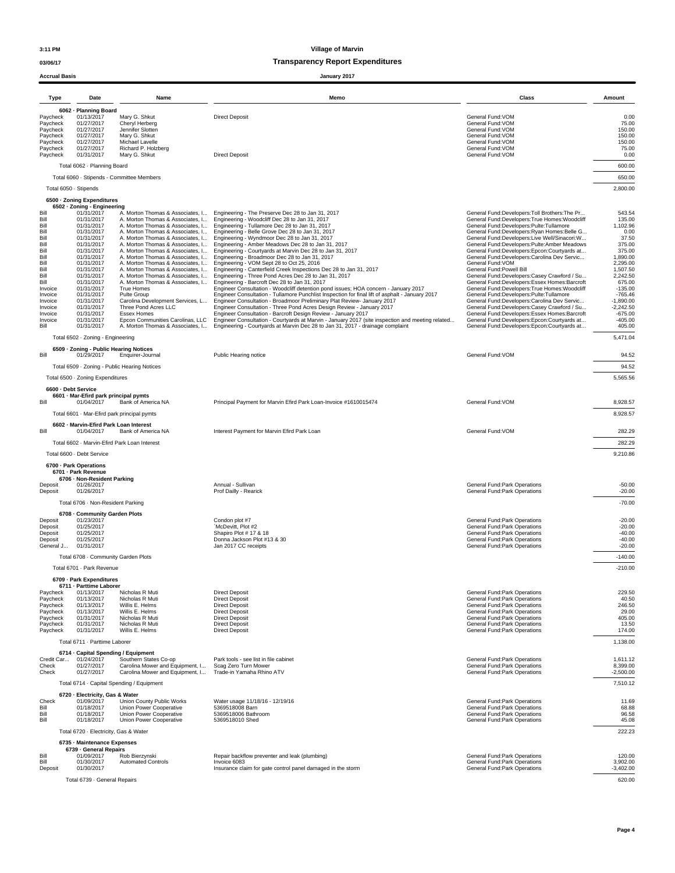### **03/06/17 Transparency Report Expenditures**

**Accrual Basis January 2017**

| Type                                                                                                                                                                   | Date                                                                                                                                                                                                                                                                                                                                | Name                                                                                                                                                                                                                                                                                                                                                                    | Memo                                                                                                                                                                                                                                                                                                                                                                                                                                                                                                                                                                                                                                                                                                                                                                                                                                                                                                                                                                                                                                                                                                                                                                                                                                                                                                                                                                                                                                                                                                     | Class                                                                                                                                                                                                                                                                                                                                                                                                                                                                                                                                                                                                                                                                                                                                                                                                                                                                     | Amount                                                                                                                                                                                                                  |
|------------------------------------------------------------------------------------------------------------------------------------------------------------------------|-------------------------------------------------------------------------------------------------------------------------------------------------------------------------------------------------------------------------------------------------------------------------------------------------------------------------------------|-------------------------------------------------------------------------------------------------------------------------------------------------------------------------------------------------------------------------------------------------------------------------------------------------------------------------------------------------------------------------|----------------------------------------------------------------------------------------------------------------------------------------------------------------------------------------------------------------------------------------------------------------------------------------------------------------------------------------------------------------------------------------------------------------------------------------------------------------------------------------------------------------------------------------------------------------------------------------------------------------------------------------------------------------------------------------------------------------------------------------------------------------------------------------------------------------------------------------------------------------------------------------------------------------------------------------------------------------------------------------------------------------------------------------------------------------------------------------------------------------------------------------------------------------------------------------------------------------------------------------------------------------------------------------------------------------------------------------------------------------------------------------------------------------------------------------------------------------------------------------------------------|---------------------------------------------------------------------------------------------------------------------------------------------------------------------------------------------------------------------------------------------------------------------------------------------------------------------------------------------------------------------------------------------------------------------------------------------------------------------------------------------------------------------------------------------------------------------------------------------------------------------------------------------------------------------------------------------------------------------------------------------------------------------------------------------------------------------------------------------------------------------------|-------------------------------------------------------------------------------------------------------------------------------------------------------------------------------------------------------------------------|
| Paycheck<br>Paycheck<br>Paycheck<br>Paycheck<br>Paycheck<br>Paycheck<br>Paycheck                                                                                       | 6062 - Planning Board<br>01/13/2017<br>01/27/2017<br>01/27/2017<br>01/27/2017<br>01/27/2017<br>01/27/2017<br>01/31/2017                                                                                                                                                                                                             | Mary G. Shkut<br><b>Direct Deposit</b><br>Cheryl Herberg<br>Jennifer Slotten<br>Mary G. Shkut<br>Michael Lavelle<br>Richard P. Holzberg                                                                                                                                                                                                                                 |                                                                                                                                                                                                                                                                                                                                                                                                                                                                                                                                                                                                                                                                                                                                                                                                                                                                                                                                                                                                                                                                                                                                                                                                                                                                                                                                                                                                                                                                                                          | General Fund: VOM<br>General Fund: VOM<br>General Fund: VOM<br>General Fund: VOM<br>General Fund:VOM<br>General Fund: VOM<br>General Fund: VOM                                                                                                                                                                                                                                                                                                                                                                                                                                                                                                                                                                                                                                                                                                                            | 0.00<br>75.00<br>150.00<br>150.00<br>150.00<br>75.00<br>0.00                                                                                                                                                            |
|                                                                                                                                                                        | Total 6062 - Planning Board<br>Total 6050 · Stipends                                                                                                                                                                                                                                                                                | Mary G. Shkut<br>Total 6060 · Stipends - Committee Members                                                                                                                                                                                                                                                                                                              | <b>Direct Deposit</b>                                                                                                                                                                                                                                                                                                                                                                                                                                                                                                                                                                                                                                                                                                                                                                                                                                                                                                                                                                                                                                                                                                                                                                                                                                                                                                                                                                                                                                                                                    |                                                                                                                                                                                                                                                                                                                                                                                                                                                                                                                                                                                                                                                                                                                                                                                                                                                                           | 600.00<br>650.00<br>2,800.00                                                                                                                                                                                            |
| Bill<br>Bill<br>Bill<br>Bill<br>Bill<br>Bill<br>Bill<br>Bill<br>Bill<br>Bill<br>Bill<br>Bill<br>Invoice<br>Invoice<br>Invoice<br>Invoice<br>Invoice<br>Invoice<br>Bill | 6500 · Zoning Expenditures<br>6502 · Zoning - Engineering<br>01/31/2017<br>01/31/2017<br>01/31/2017<br>01/31/2017<br>01/31/2017<br>01/31/2017<br>01/31/2017<br>01/31/2017<br>01/31/2017<br>01/31/2017<br>01/31/2017<br>01/31/2017<br>01/31/2017<br>01/31/2017<br>01/31/2017<br>01/31/2017<br>01/31/2017<br>01/31/2017<br>01/31/2017 | A. Morton Thomas & Associates, I<br>A. Morton Thomas & Associates, I<br>A. Morton Thomas & Associates, I<br>A. Morton Thomas & Associates, I<br>A. Morton Thomas & Associates, I<br>True Homes<br>Pulte Group<br>Carolina Development Services, L<br>Three Pond Acres LLC<br><b>Essex Homes</b><br>Epcon Communities Carolinas, LLC<br>A. Morton Thomas & Associates, I | A. Morton Thomas & Associates, I Engineering - The Preserve Dec 28 to Jan 31, 2017<br>A. Morton Thomas & Associates. I Engineering - Woodcliff Dec 28 to Jan 31, 2017<br>A. Morton Thomas & Associates, I Engineering - Tullamore Dec 28 to Jan 31, 2017<br>A. Morton Thomas & Associates, I Engineering - Belle Grove Dec 28 to Jan 31, 2017<br>A. Morton Thomas & Associates, I Engineering - Wyndmoor Dec 28 to Jan 31, 2017<br>A. Morton Thomas & Associates, I Engineering - Amber Meadows Dec 28 to Jan 31, 2017<br>A. Morton Thomas & Associates, I Engineering - Courtyards at Marvin Dec 28 to Jan 31, 2017<br>Engineering - Broadmoor Dec 28 to Jan 31, 2017<br>Engineering - VOM Sept 28 to Oct 25, 2016<br>Engineering - Canterfield Creek Inspections Dec 28 to Jan 31, 2017<br>Engineering - Three Pond Acres Dec 28 to Jan 31, 2017<br>Engineering - Barcroft Dec 28 to Jan 31, 2017<br>Engineer Consultation - Woodcliff detention pond issues; HOA concern - January 2017<br>Engineer Consultation - Tullamore Punchlist Inspection for final lift of asphalt - January 2017<br>Engineer Consultation - Broadmoor Preliminary Plat Review- January 2017<br>Engineer Consultation - Three Pond Acres Design Review - January 2017<br>Engineer Consultation - Barcroft Design Review - January 2017<br>Engineer Consultation - Courtyards at Marvin - January 2017 (site inspection and meeting related<br>Engineering - Courtyards at Marvin Dec 28 to Jan 31, 2017 - drainage complaint | General Fund:Developers:Toll Brothers:The Pr<br>General Fund:Developers:True Homes:Woodcliff<br>General Fund:Developers:Pulte:Tullamore<br>General Fund:Developers:Ryan Homes:Belle G<br>General Fund:Developers:Live Well/Sinacori:W<br>General Fund:Developers:Pulte:Amber Meadows<br>General Fund:Developers:Epcon:Courtyards at<br>General Fund:Developers:Carolina Dev Servic<br>General Fund: VOM<br>General Fund:Powell Bill<br>General Fund:Developers:Casey Crawford / Su<br>General Fund:Developers:Essex Homes:Barcroft<br>General Fund:Developers:True Homes:Woodcliff<br>General Fund:Developers:Pulte:Tullamore<br>General Fund:Developers:Carolina Dev Servic<br>General Fund:Developers:Casey Crawford / Su<br>General Fund:Developers:Essex Homes:Barcroft<br>General Fund:Developers:Epcon:Courtyards at<br>General Fund:Developers:Epcon:Courtyards at | 543.54<br>135.00<br>1,102.96<br>0.00<br>37.50<br>375.00<br>375.00<br>1,890.00<br>2,295.00<br>1,507.50<br>2,242.50<br>675.00<br>$-135.00$<br>$-765.46$<br>$-1,890.00$<br>$-2,242.50$<br>$-675.00$<br>$-405.00$<br>405.00 |
| Bill                                                                                                                                                                   | Total 6502 · Zoning - Engineering<br>6509 - Zoning - Public Hearing Notices<br>01/29/2017                                                                                                                                                                                                                                           | Enquirer-Journal<br>Total 6509 · Zoning - Public Hearing Notices                                                                                                                                                                                                                                                                                                        | Public Hearing notice                                                                                                                                                                                                                                                                                                                                                                                                                                                                                                                                                                                                                                                                                                                                                                                                                                                                                                                                                                                                                                                                                                                                                                                                                                                                                                                                                                                                                                                                                    | General Fund:VOM                                                                                                                                                                                                                                                                                                                                                                                                                                                                                                                                                                                                                                                                                                                                                                                                                                                          | 5,471.04<br>94.52<br>94.52                                                                                                                                                                                              |
| Bill                                                                                                                                                                   | Total 6500 · Zoning Expenditures<br>6600 - Debt Service<br>6601 · Mar-Efird park principal pymts<br>01/04/2017<br>Total 6601 · Mar-Efird park principal pymts                                                                                                                                                                       | Bank of America NA                                                                                                                                                                                                                                                                                                                                                      | Principal Payment for Marvin Efird Park Loan-Invoice #1610015474                                                                                                                                                                                                                                                                                                                                                                                                                                                                                                                                                                                                                                                                                                                                                                                                                                                                                                                                                                                                                                                                                                                                                                                                                                                                                                                                                                                                                                         | General Fund: VOM                                                                                                                                                                                                                                                                                                                                                                                                                                                                                                                                                                                                                                                                                                                                                                                                                                                         | 5,565.56<br>8,928.57<br>8,928.57                                                                                                                                                                                        |
| Bill                                                                                                                                                                   | 6602 - Marvin-Efird Park Loan Interest<br>01/04/2017<br>Total 6602 - Marvin-Efird Park Loan Interest<br>Total 6600 · Debt Service                                                                                                                                                                                                   | Bank of America NA                                                                                                                                                                                                                                                                                                                                                      | Interest Payment for Marvin Efird Park Loan                                                                                                                                                                                                                                                                                                                                                                                                                                                                                                                                                                                                                                                                                                                                                                                                                                                                                                                                                                                                                                                                                                                                                                                                                                                                                                                                                                                                                                                              | General Fund: VOM                                                                                                                                                                                                                                                                                                                                                                                                                                                                                                                                                                                                                                                                                                                                                                                                                                                         | 282.29<br>282.29<br>9,210.86                                                                                                                                                                                            |
| Deposit<br>Deposit                                                                                                                                                     | 6700 - Park Operations<br>6701 - Park Revenue<br>6706 - Non-Resident Parking<br>01/26/2017<br>01/26/2017                                                                                                                                                                                                                            |                                                                                                                                                                                                                                                                                                                                                                         | Annual - Sullivan<br>Prof Dailly - Rearick                                                                                                                                                                                                                                                                                                                                                                                                                                                                                                                                                                                                                                                                                                                                                                                                                                                                                                                                                                                                                                                                                                                                                                                                                                                                                                                                                                                                                                                               | General Fund: Park Operations<br>General Fund: Park Operations                                                                                                                                                                                                                                                                                                                                                                                                                                                                                                                                                                                                                                                                                                                                                                                                            | $-50.00$<br>$-20.00$                                                                                                                                                                                                    |
| Deposit<br>Deposit<br>Deposit<br>Deposit<br>General J                                                                                                                  | Total 6706 · Non-Resident Parking<br>6708 - Community Garden Plots<br>01/23/2017<br>01/25/2017<br>01/25/2017<br>01/25/2017<br>01/31/2017                                                                                                                                                                                            |                                                                                                                                                                                                                                                                                                                                                                         | Condon plot #7<br>'McDevitt, Plot #2<br>Shapiro Plot # 17 & 18<br>Donna Jackson Plot #13 & 30<br>Jan 2017 CC receipts                                                                                                                                                                                                                                                                                                                                                                                                                                                                                                                                                                                                                                                                                                                                                                                                                                                                                                                                                                                                                                                                                                                                                                                                                                                                                                                                                                                    | General Fund:Park Operations<br>General Fund: Park Operations<br>General Fund: Park Operations<br>General Fund:Park Operations<br>General Fund:Park Operations                                                                                                                                                                                                                                                                                                                                                                                                                                                                                                                                                                                                                                                                                                            | $-70.00$<br>$-20.00$<br>$-20.00$<br>$-40.00$<br>$-40.00$<br>$-20.00$                                                                                                                                                    |
|                                                                                                                                                                        | Total 6708 - Community Garden Plots<br>Total 6701 - Park Revenue<br>6709 - Park Expenditures<br>6711 - Parttime Laborer                                                                                                                                                                                                             |                                                                                                                                                                                                                                                                                                                                                                         |                                                                                                                                                                                                                                                                                                                                                                                                                                                                                                                                                                                                                                                                                                                                                                                                                                                                                                                                                                                                                                                                                                                                                                                                                                                                                                                                                                                                                                                                                                          |                                                                                                                                                                                                                                                                                                                                                                                                                                                                                                                                                                                                                                                                                                                                                                                                                                                                           | $-140.00$<br>$-210.00$                                                                                                                                                                                                  |
| Paycheck<br>Paycheck<br>Paycheck<br>Paycheck<br>Paycheck<br>Paycheck<br>Paycheck                                                                                       | 01/13/2017<br>01/13/2017<br>01/13/2017<br>01/13/2017<br>01/31/2017<br>01/31/2017<br>01/31/2017                                                                                                                                                                                                                                      | Nicholas R Muti<br>Nicholas R Muti<br>Willis E. Helms<br>Willis E. Helms<br>Nicholas R Muti<br>Nicholas R Muti<br>Willis E. Helms                                                                                                                                                                                                                                       | <b>Direct Deposit</b><br><b>Direct Deposit</b><br><b>Direct Deposit</b><br><b>Direct Deposit</b><br><b>Direct Deposit</b><br><b>Direct Deposit</b><br><b>Direct Deposit</b>                                                                                                                                                                                                                                                                                                                                                                                                                                                                                                                                                                                                                                                                                                                                                                                                                                                                                                                                                                                                                                                                                                                                                                                                                                                                                                                              | General Fund: Park Operations<br>General Fund:Park Operations<br>General Fund:Park Operations<br>General Fund: Park Operations<br>General Fund:Park Operations<br>General Fund: Park Operations<br>General Fund:Park Operations                                                                                                                                                                                                                                                                                                                                                                                                                                                                                                                                                                                                                                           | 229.50<br>40.50<br>246.50<br>29.00<br>405.00<br>13.50<br>174.00                                                                                                                                                         |
| Check<br>Check                                                                                                                                                         | Total 6711 - Parttime Laborer<br>6714 - Capital Spending / Equipment<br>Credit Car 01/24/2017<br>01/27/2017<br>01/27/2017                                                                                                                                                                                                           | Southern States Co-op<br>Carolina Mower and Equipment, I<br>Carolina Mower and Equipment, I                                                                                                                                                                                                                                                                             | Park tools - see list in file cabinet<br>Scag Zero Turn Mower<br>Trade-in Yamaha Rhino ATV                                                                                                                                                                                                                                                                                                                                                                                                                                                                                                                                                                                                                                                                                                                                                                                                                                                                                                                                                                                                                                                                                                                                                                                                                                                                                                                                                                                                               | General Fund: Park Operations<br>General Fund:Park Operations<br>General Fund:Park Operations                                                                                                                                                                                                                                                                                                                                                                                                                                                                                                                                                                                                                                                                                                                                                                             | 1,138.00<br>1,611.12<br>8,399.00<br>$-2,500.00$                                                                                                                                                                         |
| Check<br>Bill<br>Bill<br>Bill                                                                                                                                          | 6720 - Electricity, Gas & Water<br>01/09/2017<br>01/18/2017<br>01/18/2017<br>01/18/2017                                                                                                                                                                                                                                             | Total 6714 · Capital Spending / Equipment<br>Union County Public Works<br>Union Power Cooperative<br>Union Power Cooperative<br>Union Power Cooperative                                                                                                                                                                                                                 | Water usage 11/18/16 - 12/19/16<br>5369518008 Barn<br>5369518006 Bathroom<br>5369518010 Shed                                                                                                                                                                                                                                                                                                                                                                                                                                                                                                                                                                                                                                                                                                                                                                                                                                                                                                                                                                                                                                                                                                                                                                                                                                                                                                                                                                                                             | General Fund:Park Operations<br>General Fund: Park Operations<br>General Fund: Park Operations<br>General Fund: Park Operations                                                                                                                                                                                                                                                                                                                                                                                                                                                                                                                                                                                                                                                                                                                                           | 7,510.12<br>11.69<br>68.88<br>96.58<br>45.08                                                                                                                                                                            |
| Bill<br>Bill<br>Deposit                                                                                                                                                | Total 6720 - Electricity, Gas & Water<br>6735 - Maintenance Expenses<br>6739 - General Repairs<br>01/09/2017<br>01/30/2017<br>01/30/2017<br>Total 6739 - General Repairs                                                                                                                                                            | Rob Bierzynski<br><b>Automated Controls</b>                                                                                                                                                                                                                                                                                                                             | Repair backflow preventer and leak (plumbing)<br>Invoice 6083<br>Insurance claim for gate control panel damaged in the storm                                                                                                                                                                                                                                                                                                                                                                                                                                                                                                                                                                                                                                                                                                                                                                                                                                                                                                                                                                                                                                                                                                                                                                                                                                                                                                                                                                             | General Fund: Park Operations<br>General Fund:Park Operations<br>General Fund: Park Operations                                                                                                                                                                                                                                                                                                                                                                                                                                                                                                                                                                                                                                                                                                                                                                            | 222.23<br>120.00<br>3,902.00<br>$-3,402.00$<br>620.00                                                                                                                                                                   |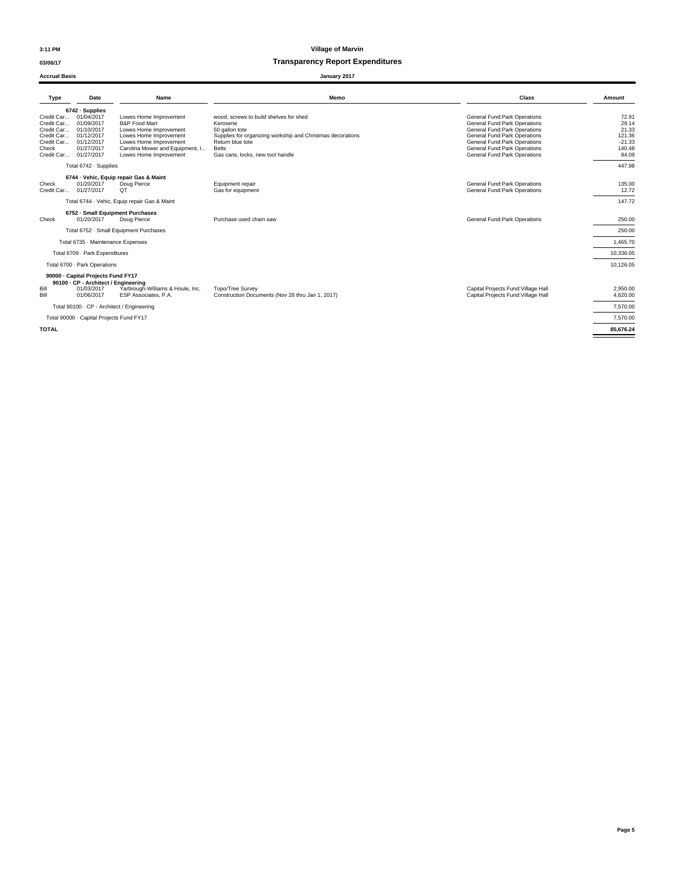### **03/06/17 Transparency Report Expenditures**

#### **Accrual Basis January 2017**

| Name<br>Date<br>Type                                                                                                                                                                                                                                                                                                                                                                                         | Memo                                                                                                                                                                                                       | Class                                                                                                                                                                                                                               | Amount                                                           |
|--------------------------------------------------------------------------------------------------------------------------------------------------------------------------------------------------------------------------------------------------------------------------------------------------------------------------------------------------------------------------------------------------------------|------------------------------------------------------------------------------------------------------------------------------------------------------------------------------------------------------------|-------------------------------------------------------------------------------------------------------------------------------------------------------------------------------------------------------------------------------------|------------------------------------------------------------------|
| 6742 · Supplies<br>01/04/2017<br>Credit Car<br>Lowes Home Improvement<br>01/09/2017<br>Credit Car<br><b>B&amp;P Food Mart</b><br>Credit Car<br>01/10/2017<br>Lowes Home Improvement<br>Credit Car<br>01/12/2017<br>Lowes Home Improvement<br>Credit Car<br>01/12/2017<br>Lowes Home Improvement<br>01/27/2017<br>Carolina Mower and Equipment, I<br>Check<br>Credit Car 01/27/2017<br>Lowes Home Improvement | wood, screws to build shelves for shed<br>Kerosene<br>50 gallon tote<br>Supplies for organizing workship and Christmas decorations<br>Return blue tote<br><b>Belts</b><br>Gas cans, locks, new tool handle | General Fund: Park Operations<br>General Fund: Park Operations<br>General Fund: Park Operations<br>General Fund: Park Operations<br>General Fund: Park Operations<br>General Fund: Park Operations<br>General Fund: Park Operations | 72.91<br>29.14<br>21.33<br>121.36<br>$-21.33$<br>140.48<br>84.09 |
| Total 6742 · Supplies                                                                                                                                                                                                                                                                                                                                                                                        |                                                                                                                                                                                                            |                                                                                                                                                                                                                                     | 447.98                                                           |
| 6744 · Vehic, Equip repair Gas & Maint<br>01/20/2017<br>Check<br>Doug Pierce<br>01/27/2017<br>Credit Car<br>QT                                                                                                                                                                                                                                                                                               | Equipment repair<br>Gas for equipment                                                                                                                                                                      | General Fund: Park Operations<br>General Fund: Park Operations                                                                                                                                                                      | 135.00<br>12.72                                                  |
| Total 6744 - Vehic, Equip repair Gas & Maint                                                                                                                                                                                                                                                                                                                                                                 |                                                                                                                                                                                                            |                                                                                                                                                                                                                                     | 147.72                                                           |
| 6752 - Small Equipment Purchases<br>01/20/2017<br>Check<br>Doug Pierce                                                                                                                                                                                                                                                                                                                                       | Purchase used chain saw                                                                                                                                                                                    | General Fund: Park Operations                                                                                                                                                                                                       | 250.00                                                           |
| Total 6752 - Small Equipment Purchases                                                                                                                                                                                                                                                                                                                                                                       |                                                                                                                                                                                                            |                                                                                                                                                                                                                                     | 250.00                                                           |
| Total 6735 · Maintenance Expenses                                                                                                                                                                                                                                                                                                                                                                            |                                                                                                                                                                                                            |                                                                                                                                                                                                                                     | 1,465.70                                                         |
| Total 6709 - Park Expenditures                                                                                                                                                                                                                                                                                                                                                                               |                                                                                                                                                                                                            |                                                                                                                                                                                                                                     | 10,336.05                                                        |
| Total 6700 - Park Operations                                                                                                                                                                                                                                                                                                                                                                                 |                                                                                                                                                                                                            |                                                                                                                                                                                                                                     | 10.126.05                                                        |
| 90000 - Capital Projects Fund FY17<br>90100 · CP - Architect / Engineering<br>Bill<br>Yarbrough-Williams & Houle, Inc.<br>01/03/2017<br>01/06/2017<br>Bill<br>ESP Associates, P.A.                                                                                                                                                                                                                           | Topo/Tree Survey<br>Construction Documents (Nov 28 thru Jan 1, 2017)                                                                                                                                       | Capital Projects Fund: Village Hall<br>Capital Projects Fund: Village Hall                                                                                                                                                          | 2.950.00<br>4.620.00                                             |
| Total 90100 · CP - Architect / Engineering                                                                                                                                                                                                                                                                                                                                                                   |                                                                                                                                                                                                            |                                                                                                                                                                                                                                     | 7,570.00                                                         |
| Total 90000 · Capital Projects Fund FY17                                                                                                                                                                                                                                                                                                                                                                     |                                                                                                                                                                                                            |                                                                                                                                                                                                                                     | 7.570.00                                                         |
| <b>TOTAL</b>                                                                                                                                                                                                                                                                                                                                                                                                 |                                                                                                                                                                                                            |                                                                                                                                                                                                                                     | 85.676.24                                                        |